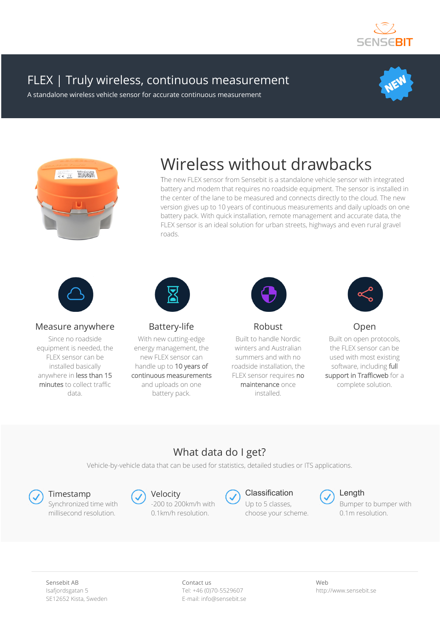

## FLEX | Truly wireless, continuous measurement

A standalone wireless vehicle sensor for accurate continuous measurement





# Wireless without drawbacks

The new FLEX sensor from Sensebit is a standalone vehicle sensor with integrated battery and modem that requires no roadside equipment. The sensor is installed in the center of the lane to be measured and connects directly to the cloud. The new version gives up to 10 years of continuous measurements and daily uploads on one battery pack. With quick installation, remote management and accurate data, the FLEX sensor is an ideal solution for urban streets, highways and even rural gravel roads.



#### Measure anywhere

Since no roadside equipment is needed, the FLEX sensor can be installed basically anywhere in less than 15 minutes to collect traffic data.



Battery-life

With new cutting-edge energy management, the new FLEX sensor can handle up to 10 years of continuous measurements and uploads on one battery pack.



Robust

Built to handle Nordic winters and Australian summers and with no roadside installation, the FLEX sensor requires no maintenance once installed.



Open

Built on open protocols, the FLEX sensor can be used with most existing software, including full support in Trafficweb for a complete solution.

### What data do I get?

Vehicle-by-vehicle data that can be used for statistics, detailed studies or ITS applications.



Synchronized time with millisecond resolution.

Timestamp Collective Collection Collection Collection Collection Collection Collection Collection Collection Collection Collection Collection Collection Collection Collection Collection Collection Collection Collection Col -200 to 200km/h with 0.1km/h resolution.



Up to 5 classes, choose your scheme.



Bumper to bumper with 0.1m resolution.

Sensebit AB Isafjordsgatan 5 SE12652 Kista, Sweden Contact us Tel: +46 (0)70-5529607 E-mail: info@sensebit.se